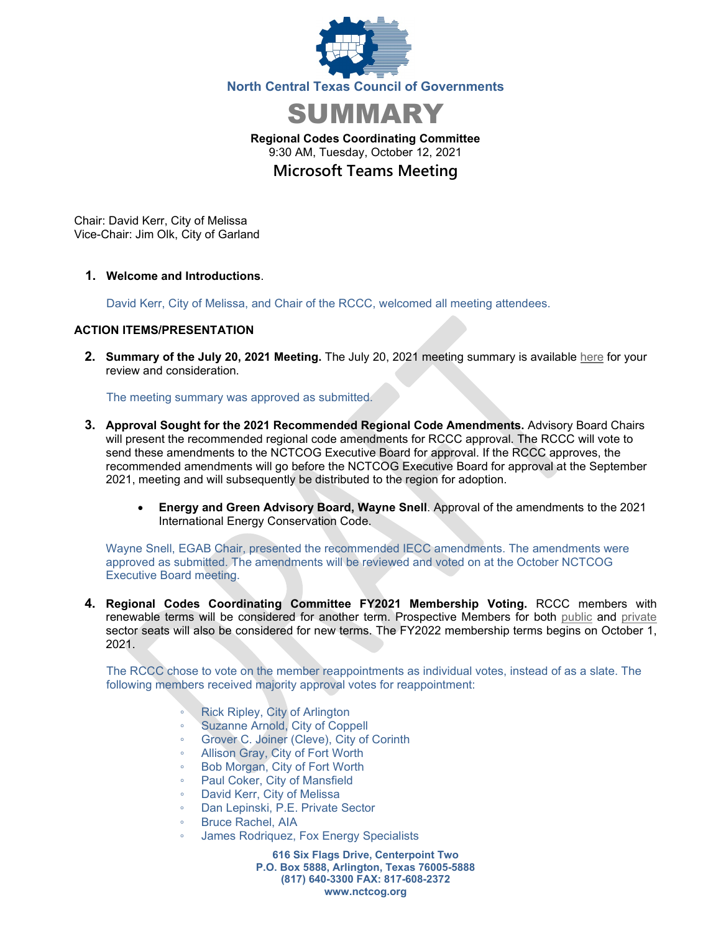



**Regional Codes Coordinating Committee** 9:30 AM, Tuesday, October 12, 2021 **Microsoft Teams Meeting**

Chair: David Kerr, City of Melissa Vice-Chair: Jim Olk, City of Garland

**1. Welcome and Introductions**.

David Kerr, City of Melissa, and Chair of the RCCC, welcomed all meeting attendees.

## **ACTION ITEMS/PRESENTATION**

**2. Summary of the July 20, 2021 Meeting.** The July 20, 2021 meeting summary is available [here](https://www.nctcog.org/nctcg/media/Environment-and-Development/Committee%20Documents/RCCC/FY2021/Summary-and-attendance_1.pdf?ext=.pdf) for your review and consideration.

The meeting summary was approved as submitted.

- **3. Approval Sought for the 2021 Recommended Regional Code Amendments.** Advisory Board Chairs will present the recommended regional code amendments for RCCC approval. The RCCC will vote to send these amendments to the NCTCOG Executive Board for approval. If the RCCC approves, the recommended amendments will go before the NCTCOG Executive Board for approval at the September 2021, meeting and will subsequently be distributed to the region for adoption.
	- **Energy and Green Advisory Board, Wayne Snell**. Approval of the amendments to the 2021 International Energy Conservation Code.

Wayne Snell, EGAB Chair, presented the recommended IECC amendments. The amendments were approved as submitted. The amendments will be reviewed and voted on at the October NCTCOG Executive Board meeting.

**4. Regional Codes Coordinating Committee FY2021 Membership Voting.** RCCC members with renewable terms will be considered for another term. Prospective Members for both [public](https://kentico-admin.nctcog.org/getmedia/88fe424c-a241-4542-b784-a5b9e2c86788/Public-Sector-nominees.pdf.aspx) and [private](https://kentico-admin.nctcog.org/getmedia/5ca7c250-3280-4527-9689-b26f6826f782/Private-Sector-nominees.pdf.aspx) sector seats will also be considered for new terms. The FY2022 membership terms begins on October 1, 2021.

The RCCC chose to vote on the member reappointments as individual votes, instead of as a slate. The following members received majority approval votes for reappointment:

- Rick Ripley, City of Arlington
- Suzanne Arnold, City of Coppell
- Grover C. Joiner (Cleve), City of Corinth
- Allison Gray, City of Fort Worth
- Bob Morgan, City of Fort Worth
- Paul Coker, City of Mansfield
- David Kerr, City of Melissa
- Dan Lepinski, P.E. Private Sector
- Bruce Rachel, AIA
- James Rodriquez, Fox Energy Specialists

**616 Six Flags Drive, Centerpoint Two P.O. Box 5888, Arlington, Texas 76005-5888 (817) 640-3300 FAX: 817-608-2372 www.nctcog.org**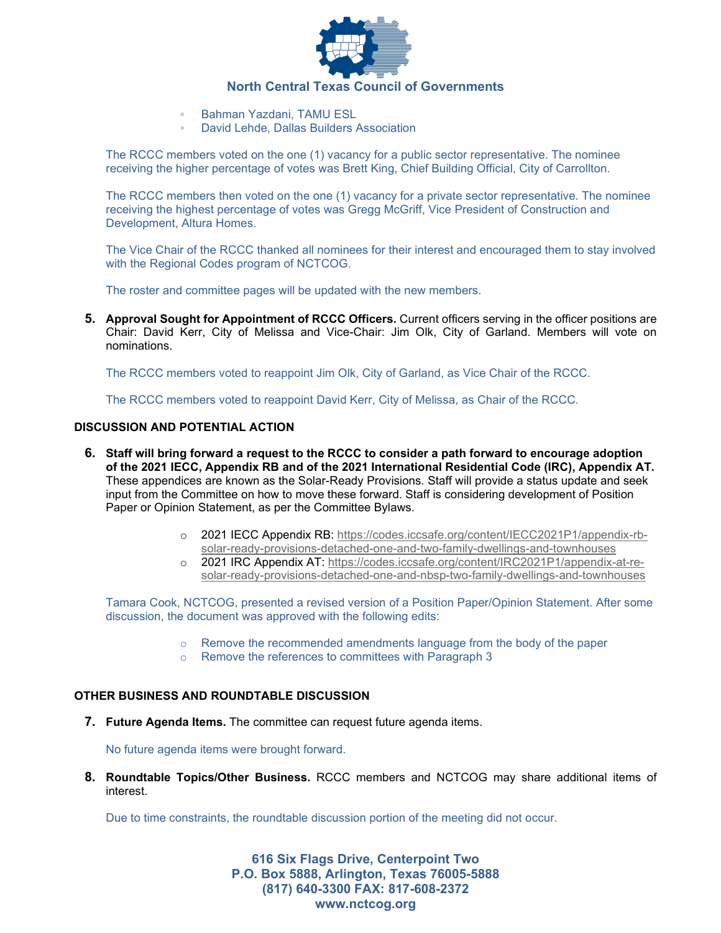

- Bahman Yazdani, TAMU ESL
- David Lehde, Dallas Builders Association

The RCCC members voted on the one (1) vacancy for a public sector representative. The nominee receiving the higher percentage of votes was Brett King, Chief Building Official, City of Carrollton.

The RCCC members then voted on the one (1) vacancy for a private sector representative. The nominee receiving the highest percentage of votes was Gregg McGriff, Vice President of Construction and Development, Altura Homes.

The Vice Chair of the RCCC thanked all nominees for their interest and encouraged them to stay involved with the Regional Codes program of NCTCOG.

The roster and committee pages will be updated with the new members.

**5. Approval Sought for Appointment of RCCC Officers.** Current officers serving in the officer positions are Chair: David Kerr, City of Melissa and Vice-Chair: Jim Olk, City of Garland. Members will vote on nominations.

The RCCC members voted to reappoint Jim Olk, City of Garland, as Vice Chair of the RCCC.

The RCCC members voted to reappoint David Kerr, City of Melissa, as Chair of the RCCC.

### **DISCUSSION AND POTENTIAL ACTION**

- **6. Staff will bring forward a request to the RCCC to consider a path forward to encourage adoption of the 2021 IECC, Appendix RB and of the 2021 International Residential Code (IRC), Appendix AT.**  These appendices are known as the Solar-Ready Provisions. Staff will provide a status update and seek input from the Committee on how to move these forward. Staff is considering development of Position Paper or Opinion Statement, as per the Committee Bylaws.
	- o 2021 IECC Appendix RB: [https://codes.iccsafe.org/content/IECC2021P1/appendix-rb](https://codes.iccsafe.org/content/IECC2021P1/appendix-rb-solar-ready-provisions-detached-one-and-two-family-dwellings-and-townhouses)[solar-ready-provisions-detached-one-and-two-family-dwellings-and-townhouses](https://codes.iccsafe.org/content/IECC2021P1/appendix-rb-solar-ready-provisions-detached-one-and-two-family-dwellings-and-townhouses)
	- o 2021 IRC Appendix AT: [https://codes.iccsafe.org/content/IRC2021P1/appendix-at-re](https://codes.iccsafe.org/content/IRC2021P1/appendix-at-re-solar-ready-provisions-detached-one-and-nbsp-two-family-dwellings-and-townhouses)[solar-ready-provisions-detached-one-and-nbsp-two-family-dwellings-and-townhouses](https://codes.iccsafe.org/content/IRC2021P1/appendix-at-re-solar-ready-provisions-detached-one-and-nbsp-two-family-dwellings-and-townhouses)

Tamara Cook, NCTCOG, presented a revised version of a Position Paper/Opinion Statement. After some discussion, the document was approved with the following edits:

- $\circ$  Remove the recommended amendments language from the body of the paper
- o Remove the references to committees with Paragraph 3

#### **OTHER BUSINESS AND ROUNDTABLE DISCUSSION**

**7. Future Agenda Items.** The committee can request future agenda items.

No future agenda items were brought forward.

**8. Roundtable Topics/Other Business.** RCCC members and NCTCOG may share additional items of interest.

Due to time constraints, the roundtable discussion portion of the meeting did not occur.

**616 Six Flags Drive, Centerpoint Two P.O. Box 5888, Arlington, Texas 76005-5888 (817) 640-3300 FAX: 817-608-2372 www.nctcog.org**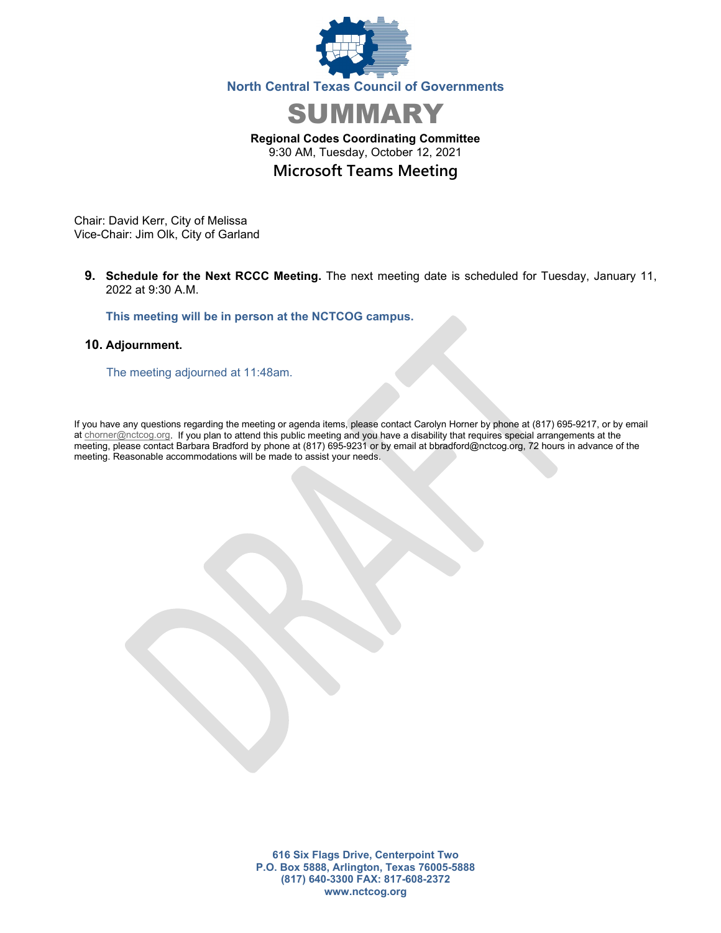



# **Regional Codes Coordinating Committee** 9:30 AM, Tuesday, October 12, 2021 **Microsoft Teams Meeting**

Chair: David Kerr, City of Melissa Vice-Chair: Jim Olk, City of Garland

**9. Schedule for the Next RCCC Meeting.** The next meeting date is scheduled for Tuesday, January 11, 2022 at 9:30 A.M.

**This meeting will be in person at the NCTCOG campus.**

#### **10. Adjournment.**

The meeting adjourned at 11:48am.

If you have any questions regarding the meeting or agenda items, please contact Carolyn Horner by phone at (817) 695-9217, or by email at [chorner@nctcog.org.](mailto:chorner@nctcog.org) If you plan to attend this public meeting and you have a disability that requires special arrangements at the meeting, please contact Barbara Bradford by phone at (817) 695-9231 or by email at bbradford@nctcog.org, 72 hours in advance of the meeting. Reasonable accommodations will be made to assist your needs.

> **616 Six Flags Drive, Centerpoint Two P.O. Box 5888, Arlington, Texas 76005-5888 (817) 640-3300 FAX: 817-608-2372 www.nctcog.org**